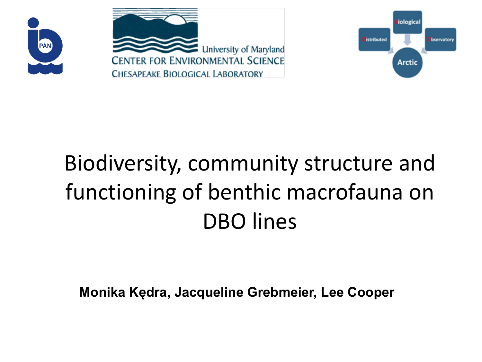



# Biodiversity, community structure and functioning of benthic macrofauna on DBO lines

**Monika Kędra, Jacqueline Grebmeier, Lee Cooper**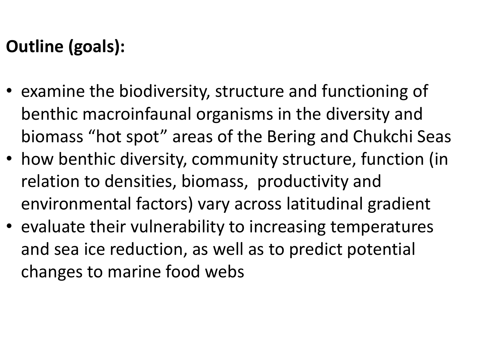## **Outline (goals):**

- examine the biodiversity, structure and functioning of benthic macroinfaunal organisms in the diversity and biomass "hot spot" areas of the Bering and Chukchi Seas
- how benthic diversity, community structure, function (in relation to densities, biomass, productivity and environmental factors) vary across latitudinal gradient
- evaluate their vulnerability to increasing temperatures and sea ice reduction, as well as to predict potential changes to marine food webs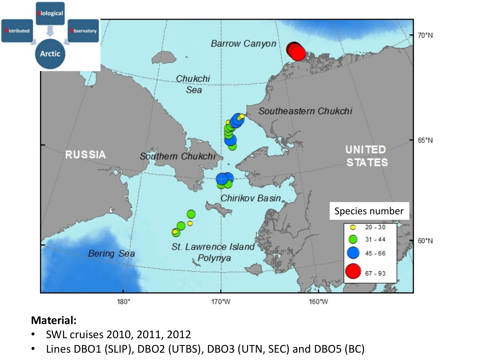

### **Material:**

- SWL cruises 2010, 2011, 2012
- Lines DBO1 (SLIP), DBO2 (UTBS), DBO3 (UTN, SEC) and DBO5 (BC)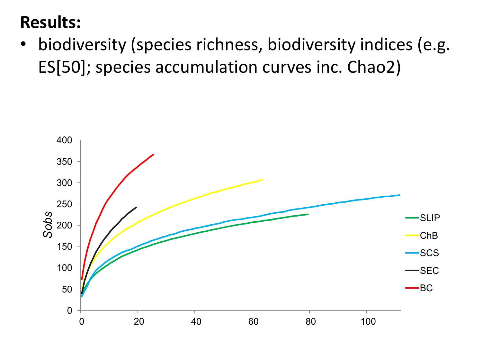### **Results:**

biodiversity (species richness, biodiversity indices (e.g. ES[50]; species accumulation curves inc. Chao2)

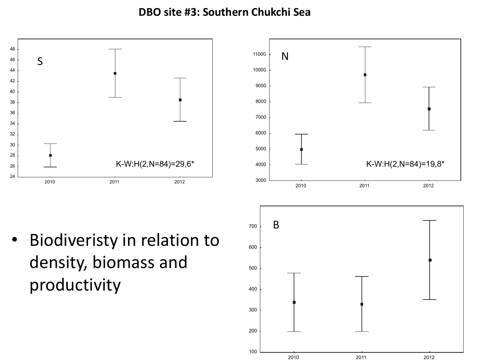**DBO** site #3: Southern Chukchi Sea

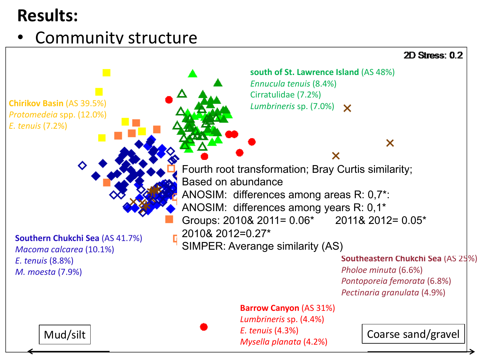## **Results:**

### • Community structure

#### $2D$  Stress: 0.2



**Southern Chukchi Sea** (AS 41.7%) *Macoma calcarea* (10.1%) *E. tenuis* (8.8%) *M. moesta* (7.9%)

south of St. Lawrence Island (AS 48%) *Ennucula tenuis* (8.4%) Cirratulidae (7.2%) *Lumbrineris* sp.  $(7.0%) \times$ 

Fourth root transformation; Bray Curtis similarity; Based on abundance ANOSIM: differences among areas R: 0,7\*: ANOSIM: differences among years R: 0,1\* Groups: 2010& 2011= 0.06\* 2011& 2012= 0.05\* 2010& 2012=0.27\* SIMPER: Averange similarity (AS)

#### **Southeastern Chukchi Sea** (AS 25%)

*Pholoe minuta* (6.6%) *Pontoporeia femorata* (6.8%) *Pectinaria granulata* (4.9%)

×

#### **Barrow Canyon (AS 31%)**

*Lumbrineris* sp. (4.4%) *E. tenuis* (4.3%) *Mysella planata* (4.2%) 

Mud/silt Coarse sand/gravel

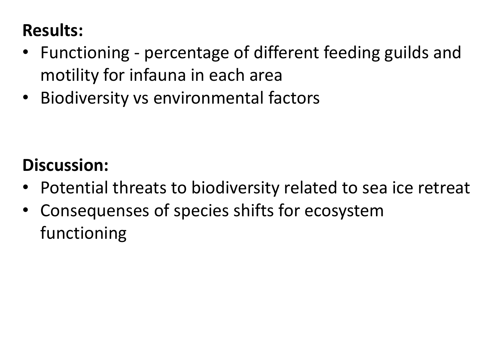# **Results:**

- Functioning percentage of different feeding guilds and motility for infauna in each area
- Biodiversity vs environmental factors

### **Discussion:**

- Potential threats to biodiversity related to sea ice retreat
- Consequenses of species shifts for ecosystem functioning